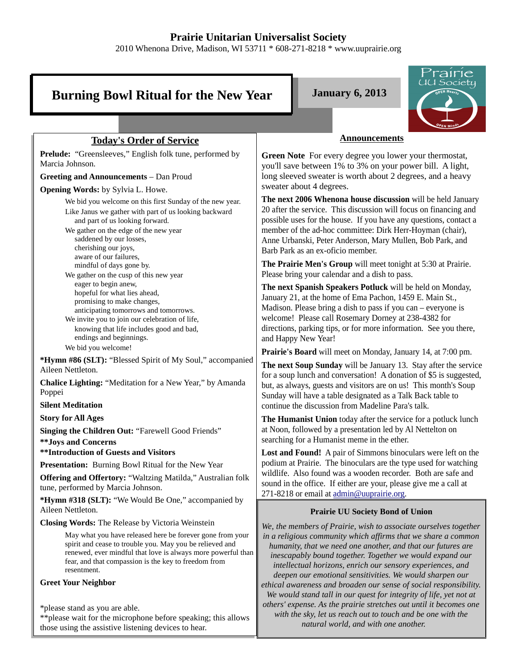# **Prairie Unitarian Universalist Society**

2010 Whenona Drive, Madison, WI 53711 \* 608-271-8218 \* www.uuprairie.org

# **Burning Bowl Ritual for the New Year January 6, 2013**



# **Today's Order of Service**

**Prelude:** "Greensleeves," English folk tune, performed by Marcia Johnson.

**Greeting and Announcements** – Dan Proud

**Opening Words:** by Sylvia L. Howe.

We bid you welcome on this first Sunday of the new year. Like Janus we gather with part of us looking backward and part of us looking forward. We gather on the edge of the new year

 saddened by our losses, cherishing our joys, aware of our failures, mindful of days gone by.

We gather on the cusp of this new year eager to begin anew, hopeful for what lies ahead, promising to make changes, anticipating tomorrows and tomorrows.

We invite you to join our celebration of life, knowing that life includes good and bad, endings and beginnings. We bid you welcome!

**\*Hymn #86 (SLT):** "Blessed Spirit of My Soul," accompanied Aileen Nettleton.

**Chalice Lighting:** "Meditation for a New Year," by Amanda Poppei

**Silent Meditation**

**Story for All Ages**

**Singing the Children Out:** "Farewell Good Friends"

**\*\*Joys and Concerns**

**\*\*Introduction of Guests and Visitors**

**Presentation:** Burning Bowl Ritual for the New Year

**Offering and Offertory:** "Waltzing Matilda," Australian folk tune, performed by Marcia Johnson.

**\*Hymn #318 (SLT):** "We Would Be One," accompanied by Aileen Nettleton.

**Closing Words:** The Release by Victoria Weinstein

May what you have released here be forever gone from your spirit and cease to trouble you. May you be relieved and renewed, ever mindful that love is always more powerful than fear, and that compassion is the key to freedom from resentment.

**Greet Your Neighbor**

\*please stand as you are able.

\*\*please wait for the microphone before speaking; this allows those using the assistive listening devices to hear.

#### **Announcements**

**Green Note** For every degree you lower your thermostat, you'll save between 1% to 3% on your power bill. A light, long sleeved sweater is worth about 2 degrees, and a heavy sweater about 4 degrees.

**The next 2006 Whenona house discussion** will be held January 20 after the service. This discussion will focus on financing and possible uses for the house. If you have any questions, contact a member of the ad-hoc committee: Dirk Herr-Hoyman (chair), Anne Urbanski, Peter Anderson, Mary Mullen, Bob Park, and Barb Park as an ex-oficio member.

**The Prairie Men's Group** will meet tonight at 5:30 at Prairie. Please bring your calendar and a dish to pass.

**The next Spanish Speakers Potluck** will be held on Monday, January 21, at the home of Ema Pachon, 1459 E. Main St., Madison. Please bring a dish to pass if you can – everyone is welcome! Please call Rosemary Dorney at 238-4382 for directions, parking tips, or for more information. See you there, and Happy New Year!

**Prairie's Board** will meet on Monday, January 14, at 7:00 pm.

**The next Soup Sunday** will be January 13. Stay after the service for a soup lunch and conversation! A donation of \$5 is suggested, but, as always, guests and visitors are on us! This month's Soup Sunday will have a table designated as a Talk Back table to continue the discussion from Madeline Para's talk.

**The Humanist Union** today after the service for a potluck lunch at Noon, followed by a presentation led by Al Nettelton on searching for a Humanist meme in the ether.

**Lost and Found!** A pair of Simmons binoculars were left on the podium at Prairie. The binoculars are the type used for watching wildlife. Also found was a wooden recorder. Both are safe and sound in the office. If either are your, please give me a call at 271-8218 or email at admin@uuprairie.org.

# **Prairie UU Society Bond of Union**

*We, the members of Prairie, wish to associate ourselves together in a religious community which affirms that we share a common humanity, that we need one another, and that our futures are inescapably bound together. Together we would expand our intellectual horizons, enrich our sensory experiences, and deepen our emotional sensitivities. We would sharpen our ethical awareness and broaden our sense of social responsibility. We would stand tall in our quest for integrity of life, yet not at others' expense. As the prairie stretches out until it becomes one with the sky, let us reach out to touch and be one with the natural world, and with one another.*